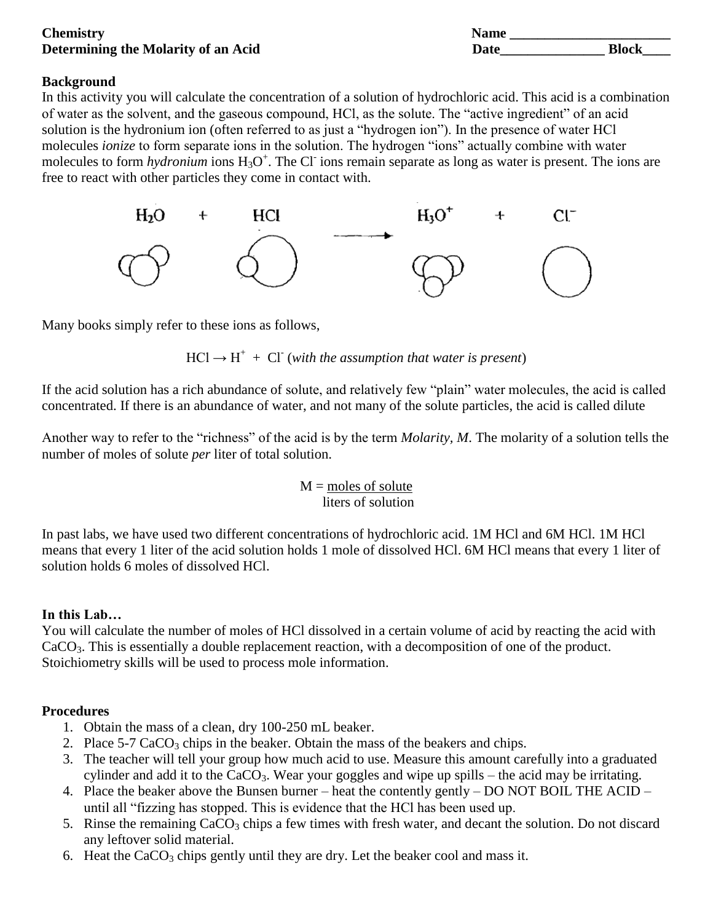### **Chemistry Name \_\_\_\_\_\_\_\_\_\_\_\_\_\_\_\_\_\_\_\_\_\_\_ Determining the Molarity of an Acid**

| Name |              |
|------|--------------|
| Date | <b>Block</b> |

### **Background**

In this activity you will calculate the concentration of a solution of hydrochloric acid. This acid is a combination of water as the solvent, and the gaseous compound, HCl, as the solute. The "active ingredient" of an acid solution is the hydronium ion (often referred to as just a "hydrogen ion"). In the presence of water HCl molecules *ionize* to form separate ions in the solution. The hydrogen "ions" actually combine with water molecules to form *hydronium* ions H<sub>3</sub>O<sup>+</sup>. The Cl<sup>-</sup> ions remain separate as long as water is present. The ions are free to react with other particles they come in contact with.



Many books simply refer to these ions as follows,

 $HCl \rightarrow H^+ + Cl^-$  (with the assumption that water is present)

If the acid solution has a rich abundance of solute, and relatively few "plain" water molecules, the acid is called concentrated. If there is an abundance of water, and not many of the solute particles, the acid is called dilute

Another way to refer to the "richness" of the acid is by the term *Molarity, M*. The molarity of a solution tells the number of moles of solute *per* liter of total solution.

$$
M = \frac{\text{moles of solute}}{\text{liters of solution}}
$$

In past labs, we have used two different concentrations of hydrochloric acid. 1M HCl and 6M HCl. 1M HCl means that every 1 liter of the acid solution holds 1 mole of dissolved HCl. 6M HCl means that every 1 liter of solution holds 6 moles of dissolved HCl.

# **In this Lab…**

You will calculate the number of moles of HCl dissolved in a certain volume of acid by reacting the acid with CaCO3. This is essentially a double replacement reaction, with a decomposition of one of the product. Stoichiometry skills will be used to process mole information.

# **Procedures**

- 1. Obtain the mass of a clean, dry 100-250 mL beaker.
- 2. Place  $5-7$  CaCO<sub>3</sub> chips in the beaker. Obtain the mass of the beakers and chips.
- 3. The teacher will tell your group how much acid to use. Measure this amount carefully into a graduated cylinder and add it to the  $CaCO<sub>3</sub>$ . Wear your goggles and wipe up spills – the acid may be irritating.
- 4. Place the beaker above the Bunsen burner heat the contently gently DO NOT BOIL THE ACID until all "fizzing has stopped. This is evidence that the HCl has been used up.
- 5. Rinse the remaining  $CaCO<sub>3</sub>$  chips a few times with fresh water, and decant the solution. Do not discard any leftover solid material.
- 6. Heat the  $CaCO<sub>3</sub>$  chips gently until they are dry. Let the beaker cool and mass it.